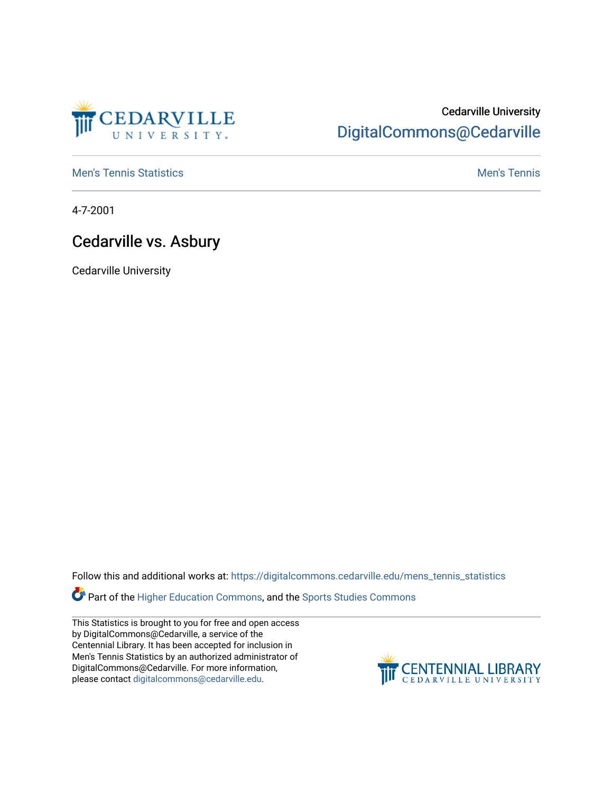

## Cedarville University [DigitalCommons@Cedarville](https://digitalcommons.cedarville.edu/)

**[Men's Tennis Statistics](https://digitalcommons.cedarville.edu/mens_tennis_statistics) Mental According to the Control of Control According Mental Men's Tennis** 

4-7-2001

## Cedarville vs. Asbury

Cedarville University

Follow this and additional works at: [https://digitalcommons.cedarville.edu/mens\\_tennis\\_statistics](https://digitalcommons.cedarville.edu/mens_tennis_statistics?utm_source=digitalcommons.cedarville.edu%2Fmens_tennis_statistics%2F471&utm_medium=PDF&utm_campaign=PDFCoverPages)

**Part of the [Higher Education Commons,](http://network.bepress.com/hgg/discipline/1245?utm_source=digitalcommons.cedarville.edu%2Fmens_tennis_statistics%2F471&utm_medium=PDF&utm_campaign=PDFCoverPages) and the Sports Studies Commons** 

This Statistics is brought to you for free and open access by DigitalCommons@Cedarville, a service of the Centennial Library. It has been accepted for inclusion in Men's Tennis Statistics by an authorized administrator of DigitalCommons@Cedarville. For more information, please contact [digitalcommons@cedarville.edu](mailto:digitalcommons@cedarville.edu).